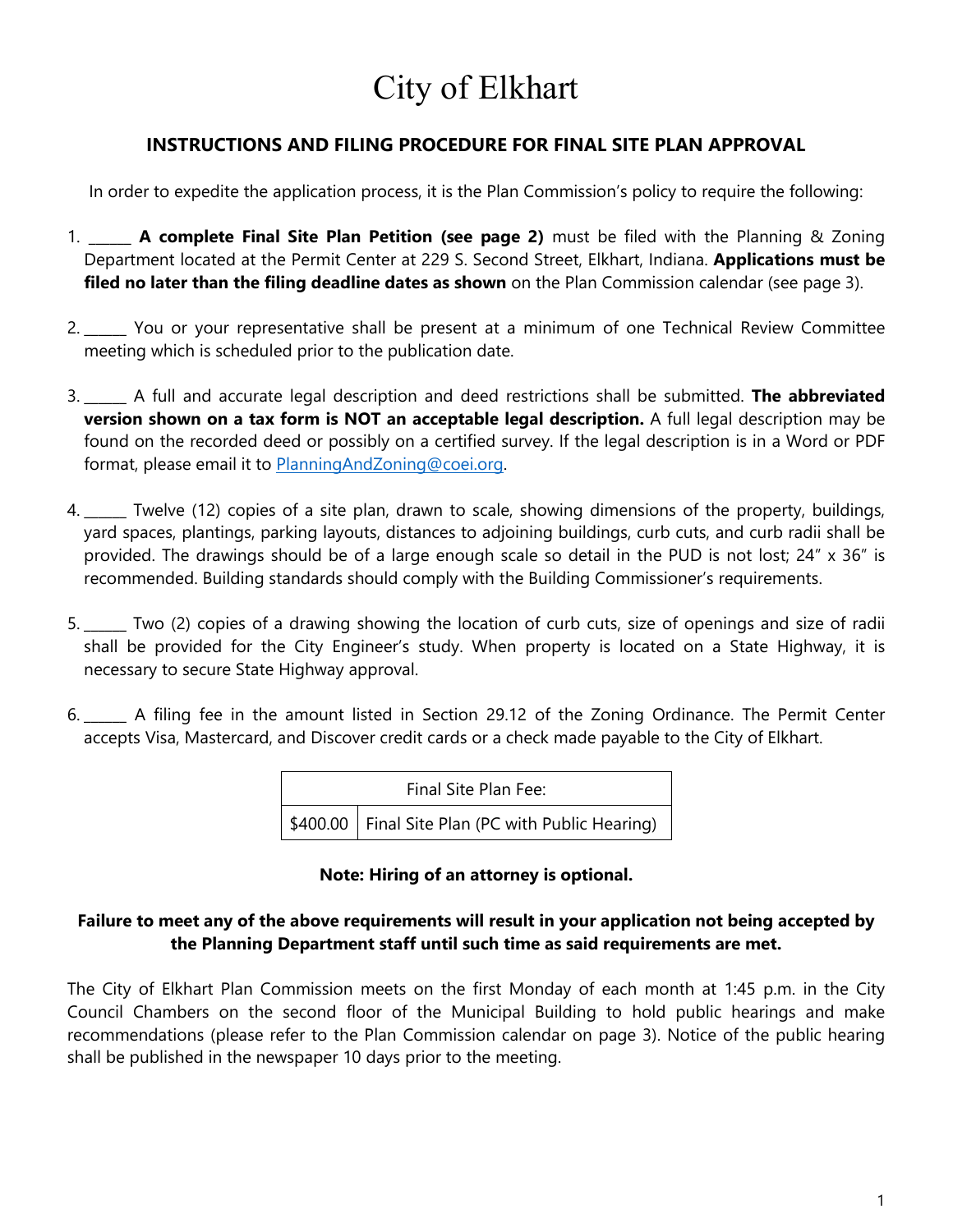# City of Elkhart

# **INSTRUCTIONS AND FILING PROCEDURE FOR FINAL SITE PLAN APPROVAL**

In order to expedite the application process, it is the Plan Commission's policy to require the following:

- 1. \_\_\_\_\_\_ **A complete Final Site Plan Petition (see page 2)** must be filed with the Planning & Zoning Department located at the Permit Center at 229 S. Second Street, Elkhart, Indiana. **Applications must be filed no later than the filing deadline dates as shown** on the Plan Commission calendar (see page 3).
- 2. \_\_\_\_\_\_ You or your representative shall be present at a minimum of one Technical Review Committee meeting which is scheduled prior to the publication date.
- 3. \_\_\_\_\_\_ A full and accurate legal description and deed restrictions shall be submitted. **The abbreviated version shown on a tax form is NOT an acceptable legal description.** A full legal description may be found on the recorded deed or possibly on a certified survey. If the legal description is in a Word or PDF format, please email it to [PlanningAndZoning@coei.org.](mailto:PlanningAndZoning@coei.org)
- 4. \_\_\_\_\_\_ Twelve (12) copies of a site plan, drawn to scale, showing dimensions of the property, buildings, yard spaces, plantings, parking layouts, distances to adjoining buildings, curb cuts, and curb radii shall be provided. The drawings should be of a large enough scale so detail in the PUD is not lost; 24" x 36" is recommended. Building standards should comply with the Building Commissioner's requirements.
- 5. **\_\_\_\_\_\_** Two (2) copies of a drawing showing the location of curb cuts, size of openings and size of radii shall be provided for the City Engineer's study. When property is located on a State Highway, it is necessary to secure State Highway approval.
- 6. \_\_\_\_\_\_ A filing fee in the amount listed in Section 29.12 of the Zoning Ordinance. The Permit Center accepts Visa, Mastercard, and Discover credit cards or a check made payable to the City of Elkhart.

| Final Site Plan Fee: |                                                     |  |
|----------------------|-----------------------------------------------------|--|
|                      | \$400.00   Final Site Plan (PC with Public Hearing) |  |

# **Note: Hiring of an attorney is optional.**

# **Failure to meet any of the above requirements will result in your application not being accepted by the Planning Department staff until such time as said requirements are met.**

The City of Elkhart Plan Commission meets on the first Monday of each month at 1:45 p.m. in the City Council Chambers on the second floor of the Municipal Building to hold public hearings and make recommendations (please refer to the Plan Commission calendar on page 3). Notice of the public hearing shall be published in the newspaper 10 days prior to the meeting.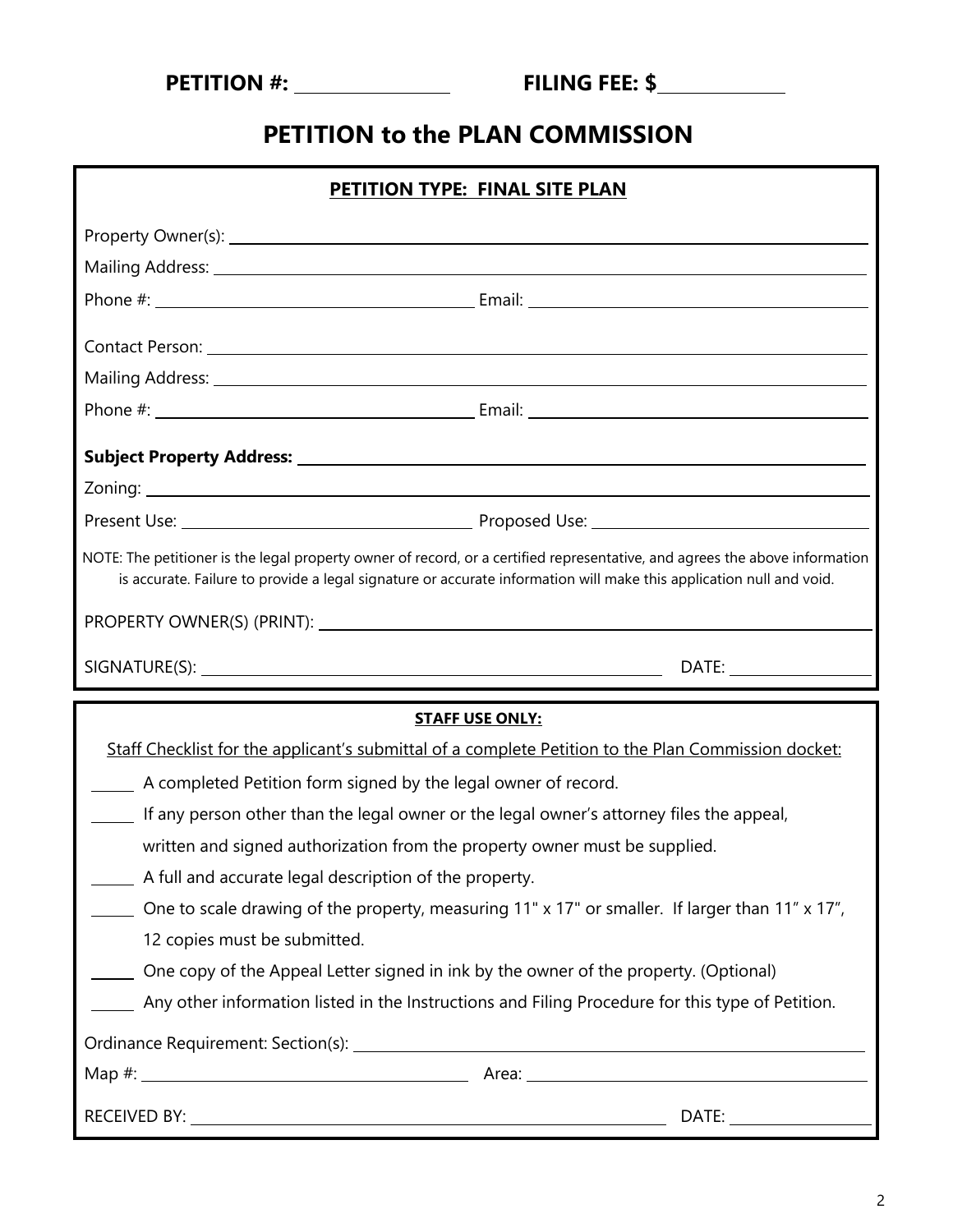| <b>PETITION #:</b> |  |  |  |  |  |
|--------------------|--|--|--|--|--|
|--------------------|--|--|--|--|--|

# **PETITION to the PLAN COMMISSION**

| PETITION TYPE: FINAL SITE PLAN                                                                                                                                                                                                                     |                                                                                                 |  |  |  |
|----------------------------------------------------------------------------------------------------------------------------------------------------------------------------------------------------------------------------------------------------|-------------------------------------------------------------------------------------------------|--|--|--|
|                                                                                                                                                                                                                                                    |                                                                                                 |  |  |  |
| Mailing Address: 1999 Mailing Address: 1999 Mailing Address: 1999 Mail 1999 Mail 1999 Mail 1999 Mail 1999 Mail                                                                                                                                     |                                                                                                 |  |  |  |
|                                                                                                                                                                                                                                                    |                                                                                                 |  |  |  |
| Contact Person: 1988 and 2008 and 2008 and 2008 and 2008 and 2008 and 2008 and 2008 and 2008 and 2008 and 2008                                                                                                                                     |                                                                                                 |  |  |  |
|                                                                                                                                                                                                                                                    |                                                                                                 |  |  |  |
|                                                                                                                                                                                                                                                    |                                                                                                 |  |  |  |
|                                                                                                                                                                                                                                                    |                                                                                                 |  |  |  |
|                                                                                                                                                                                                                                                    |                                                                                                 |  |  |  |
|                                                                                                                                                                                                                                                    |                                                                                                 |  |  |  |
| NOTE: The petitioner is the legal property owner of record, or a certified representative, and agrees the above information<br>is accurate. Failure to provide a legal signature or accurate information will make this application null and void. |                                                                                                 |  |  |  |
|                                                                                                                                                                                                                                                    |                                                                                                 |  |  |  |
|                                                                                                                                                                                                                                                    |                                                                                                 |  |  |  |
|                                                                                                                                                                                                                                                    |                                                                                                 |  |  |  |
|                                                                                                                                                                                                                                                    | <b>STAFF USE ONLY:</b>                                                                          |  |  |  |
| Staff Checklist for the applicant's submittal of a complete Petition to the Plan Commission docket:                                                                                                                                                |                                                                                                 |  |  |  |
| A completed Petition form signed by the legal owner of record.                                                                                                                                                                                     |                                                                                                 |  |  |  |
| If any person other than the legal owner or the legal owner's attorney files the appeal,                                                                                                                                                           |                                                                                                 |  |  |  |
| written and signed authorization from the property owner must be supplied.                                                                                                                                                                         |                                                                                                 |  |  |  |
| A full and accurate legal description of the property.                                                                                                                                                                                             |                                                                                                 |  |  |  |
|                                                                                                                                                                                                                                                    | One to scale drawing of the property, measuring 11" x 17" or smaller. If larger than 11" x 17", |  |  |  |
| 12 copies must be submitted.                                                                                                                                                                                                                       |                                                                                                 |  |  |  |
| One copy of the Appeal Letter signed in ink by the owner of the property. (Optional)                                                                                                                                                               |                                                                                                 |  |  |  |
| Any other information listed in the Instructions and Filing Procedure for this type of Petition.                                                                                                                                                   |                                                                                                 |  |  |  |
|                                                                                                                                                                                                                                                    |                                                                                                 |  |  |  |
|                                                                                                                                                                                                                                                    |                                                                                                 |  |  |  |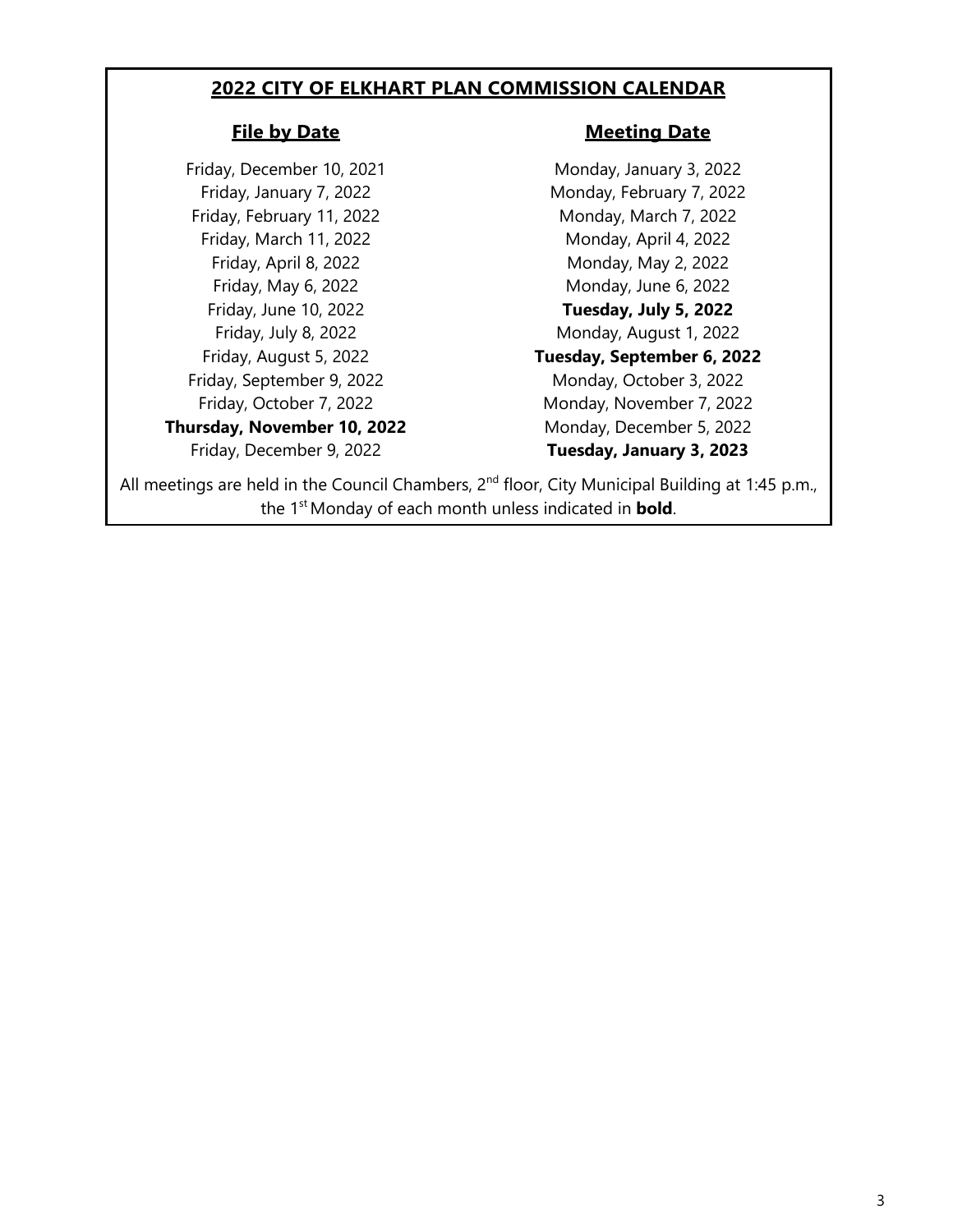## **2022 CITY OF ELKHART PLAN COMMISSION CALENDAR**

# **File by Date Meeting Date**

Friday, December 10, 2021 Monday, January 3, 2022 Friday, January 7, 2022 Monday, February 7, 2022 Friday, February 11, 2022 Monday, March 7, 2022 Friday, March 11, 2022 Monday, April 4, 2022 Friday, September 9, 2022 Monday, October 3, 2022 **Thursday, November 10, 2022** Monday, December 5, 2022

Friday, April 8, 2022 Monday, May 2, 2022 Friday, May 6, 2022 **Monday**, June 6, 2022 Friday, June 10, 2022 **Tuesday, July 5, 2022** Friday, July 8, 2022 **Monday, August 1, 2022** Friday, August 5, 2022 **Tuesday, September 6, 2022** Friday, October 7, 2022 Monday, November 7, 2022 Friday, December 9, 2022 **Tuesday, January 3, 2023**

All meetings are held in the Council Chambers, 2<sup>nd</sup> floor, City Municipal Building at 1:45 p.m., the 1<sup>st</sup> Monday of each month unless indicated in **bold**.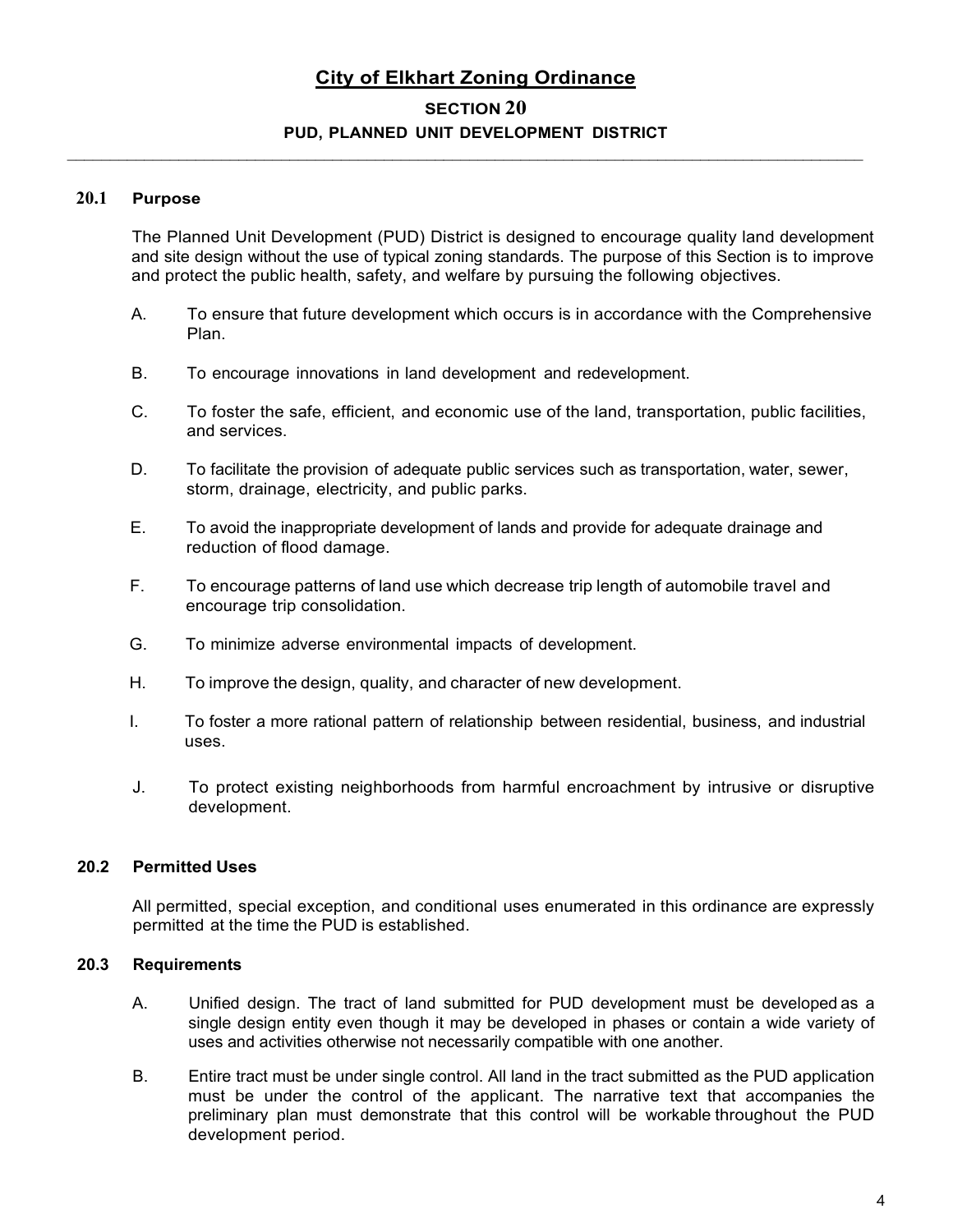# **City of Elkhart Zoning Ordinance**

# **SECTION 20 PUD, PLANNED UNIT DEVELOPMENT DISTRICT**

\_\_\_\_\_\_\_\_\_\_\_\_\_\_\_\_\_\_\_\_\_\_\_\_\_\_\_\_\_\_\_\_\_\_\_\_\_\_\_\_\_\_\_\_\_\_\_\_\_\_\_\_\_\_\_\_\_\_\_\_\_\_\_\_\_\_\_\_\_\_\_\_\_\_\_\_\_\_\_\_\_\_\_\_\_\_\_\_\_\_\_\_\_

#### **20.1 Purpose**

The Planned Unit Development (PUD) District is designed to encourage quality land development and site design without the use of typical zoning standards. The purpose of this Section is to improve and protect the public health, safety, and welfare by pursuing the following objectives.

- A. To ensure that future development which occurs is in accordance with the Comprehensive Plan.
- B. To encourage innovations in land development and redevelopment.
- C. To foster the safe, efficient, and economic use of the land, transportation, public facilities, and services.
- D. To facilitate the provision of adequate public services such as transportation, water, sewer, storm, drainage, electricity, and public parks.
- E. To avoid the inappropriate development of lands and provide for adequate drainage and reduction of flood damage.
- F. To encourage patterns of land use which decrease trip length of automobile travel and encourage trip consolidation.
- G. To minimize adverse environmental impacts of development.
- H. To improve the design, quality, and character of new development.
- I. To foster a more rational pattern of relationship between residential, business, and industrial uses.
- J. To protect existing neighborhoods from harmful encroachment by intrusive or disruptive development.

#### **20.2 Permitted Uses**

All permitted, special exception, and conditional uses enumerated in this ordinance are expressly permitted at the time the PUD is established.

#### **20.3 Requirements**

- A. Unified design. The tract of land submitted for PUD development must be developed as a single design entity even though it may be developed in phases or contain a wide variety of uses and activities otherwise not necessarily compatible with one another.
- B. Entire tract must be under single control. All land in the tract submitted as the PUD application must be under the control of the applicant. The narrative text that accompanies the preliminary plan must demonstrate that this control will be workable throughout the PUD development period.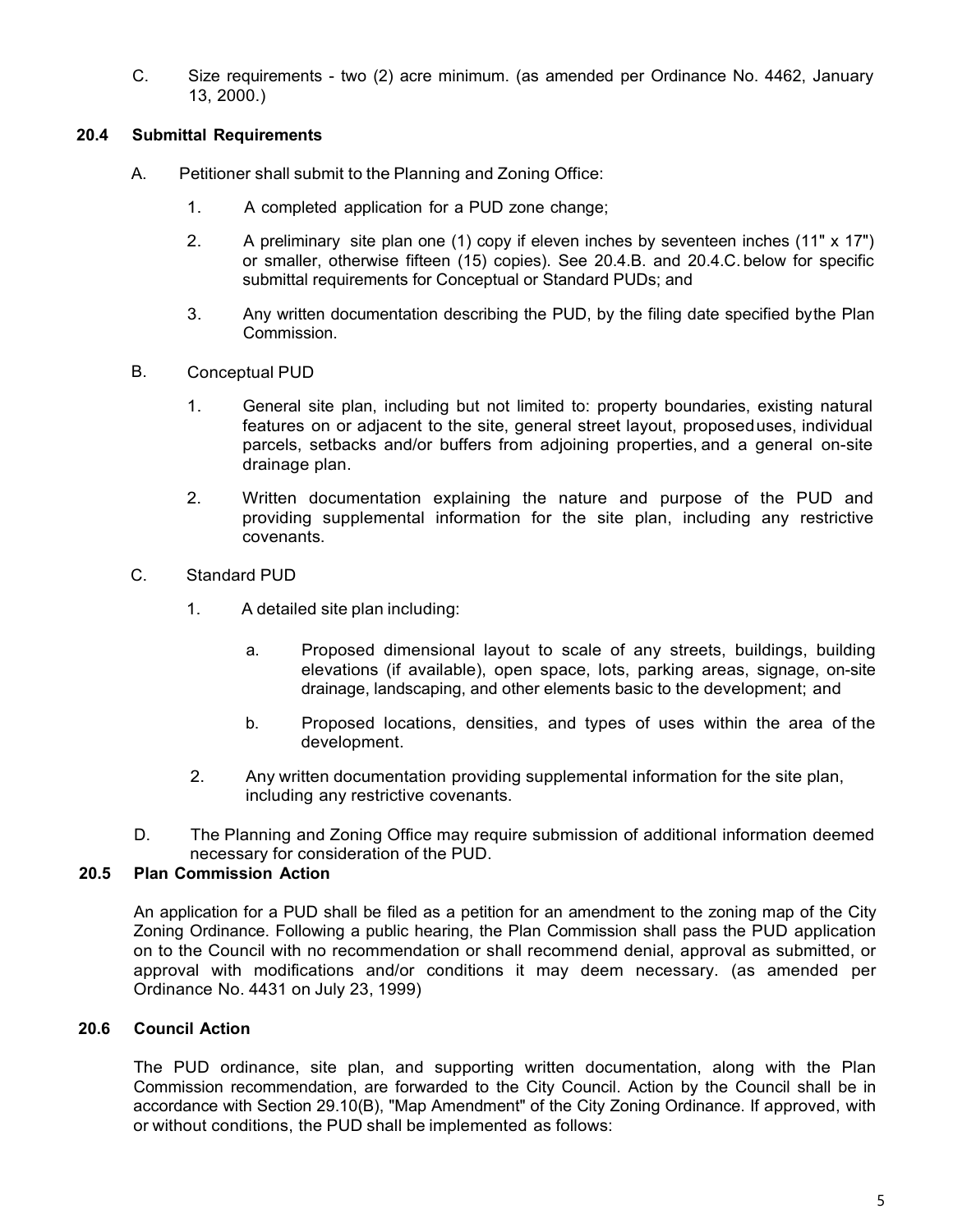C. Size requirements - two (2) acre minimum. (as amended per Ordinance No. 4462, January 13, 2000.)

#### **20.4 Submittal Requirements**

- A. Petitioner shall submit to the Planning and Zoning Office:
	- 1. A completed application for a PUD zone change;
	- 2. A preliminary site plan one (1) copy if eleven inches by seventeen inches (11" x 17") or smaller, otherwise fifteen (15) copies). See 20.4.B. and 20.4.C. below for specific submittal requirements for Conceptual or Standard PUDs; and
	- 3. Any written documentation describing the PUD, by the filing date specified bythe Plan Commission.
- B. Conceptual PUD
	- 1. General site plan, including but not limited to: property boundaries, existing natural features on or adjacent to the site, general street layout, proposeduses, individual parcels, setbacks and/or buffers from adjoining properties, and a general on-site drainage plan.
	- 2. Written documentation explaining the nature and purpose of the PUD and providing supplemental information for the site plan, including any restrictive covenants.
- C. Standard PUD
	- 1. A detailed site plan including:
		- a. Proposed dimensional layout to scale of any streets, buildings, building elevations (if available), open space, lots, parking areas, signage, on-site drainage, landscaping, and other elements basic to the development; and
		- b. Proposed locations, densities, and types of uses within the area of the development.
	- 2. Any written documentation providing supplemental information for the site plan, including any restrictive covenants.
- D. The Planning and Zoning Office may require submission of additional information deemed necessary for consideration of the PUD.

### **20.5 Plan Commission Action**

An application for a PUD shall be filed as a petition for an amendment to the zoning map of the City Zoning Ordinance. Following a public hearing, the Plan Commission shall pass the PUD application on to the Council with no recommendation or shall recommend denial, approval as submitted, or approval with modifications and/or conditions it may deem necessary. (as amended per Ordinance No. 4431 on July 23, 1999)

### **20.6 Council Action**

The PUD ordinance, site plan, and supporting written documentation, along with the Plan Commission recommendation, are forwarded to the City Council. Action by the Council shall be in accordance with Section 29.10(B), "Map Amendment" of the City Zoning Ordinance. If approved, with or without conditions, the PUD shall be implemented as follows: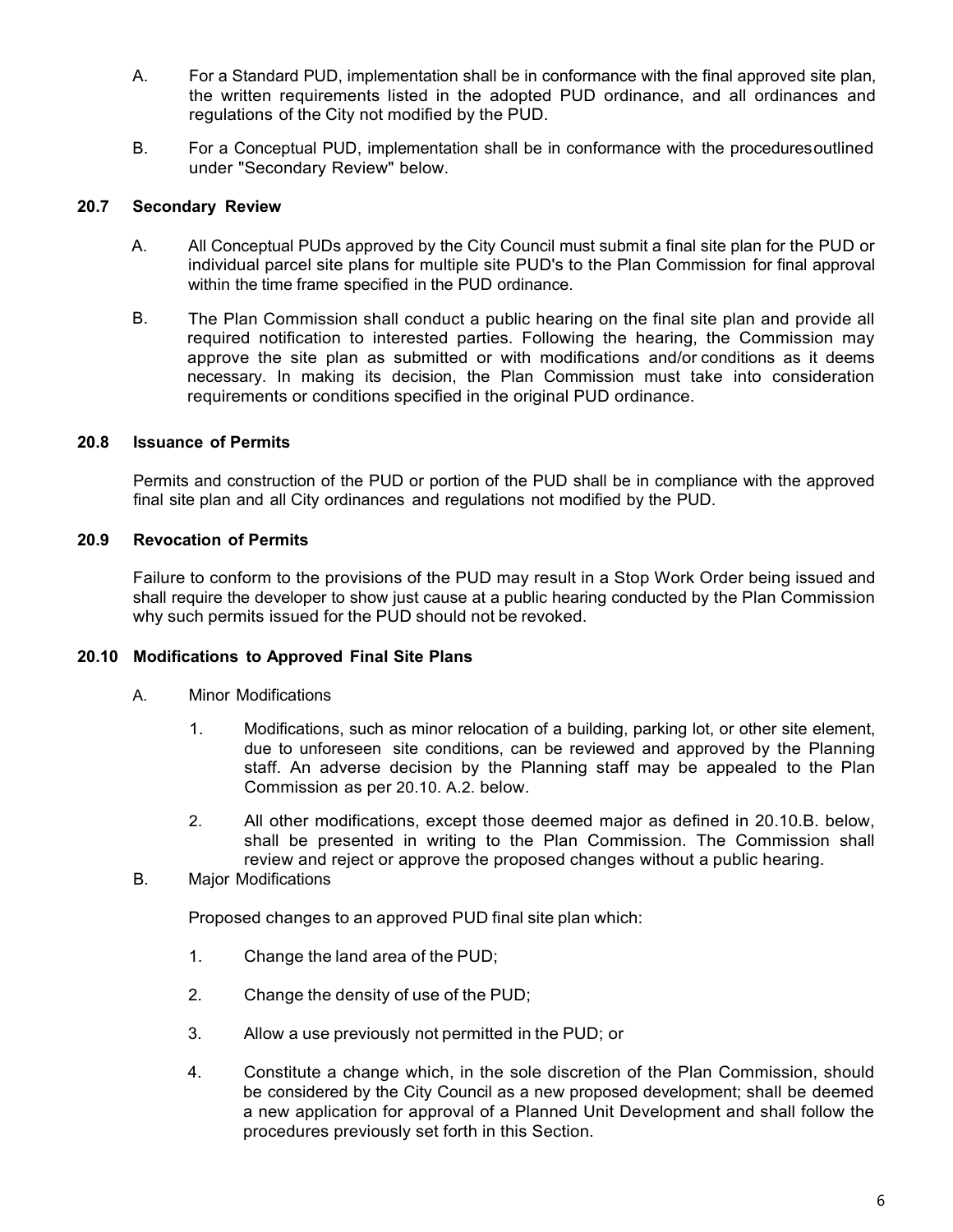- A. For a Standard PUD, implementation shall be in conformance with the final approved site plan, the written requirements listed in the adopted PUD ordinance, and all ordinances and regulations of the City not modified by the PUD.
- B. For a Conceptual PUD, implementation shall be in conformance with the proceduresoutlined under "Secondary Review" below.

#### **20.7 Secondary Review**

- A. All Conceptual PUDs approved by the City Council must submit a final site plan for the PUD or individual parcel site plans for multiple site PUD's to the Plan Commission for final approval within the time frame specified in the PUD ordinance.
- B. The Plan Commission shall conduct a public hearing on the final site plan and provide all required notification to interested parties. Following the hearing, the Commission may approve the site plan as submitted or with modifications and/or conditions as it deems necessary. In making its decision, the Plan Commission must take into consideration requirements or conditions specified in the original PUD ordinance.

#### **20.8 Issuance of Permits**

Permits and construction of the PUD or portion of the PUD shall be in compliance with the approved final site plan and all City ordinances and regulations not modified by the PUD.

#### **20.9 Revocation of Permits**

Failure to conform to the provisions of the PUD may result in a Stop Work Order being issued and shall require the developer to show just cause at a public hearing conducted by the Plan Commission why such permits issued for the PUD should not be revoked.

#### **20.10 Modifications to Approved Final Site Plans**

- A. Minor Modifications
	- 1. Modifications, such as minor relocation of a building, parking lot, or other site element, due to unforeseen site conditions, can be reviewed and approved by the Planning staff. An adverse decision by the Planning staff may be appealed to the Plan Commission as per 20.10. A.2. below.
	- 2. All other modifications, except those deemed major as defined in 20.10.B. below, shall be presented in writing to the Plan Commission. The Commission shall review and reject or approve the proposed changes without a public hearing.

#### B. Major Modifications

Proposed changes to an approved PUD final site plan which:

- 1. Change the land area of the PUD;
- 2. Change the density of use of the PUD;
- 3. Allow a use previously not permitted in the PUD; or
- 4. Constitute a change which, in the sole discretion of the Plan Commission, should be considered by the City Council as a new proposed development; shall be deemed a new application for approval of a Planned Unit Development and shall follow the procedures previously set forth in this Section.